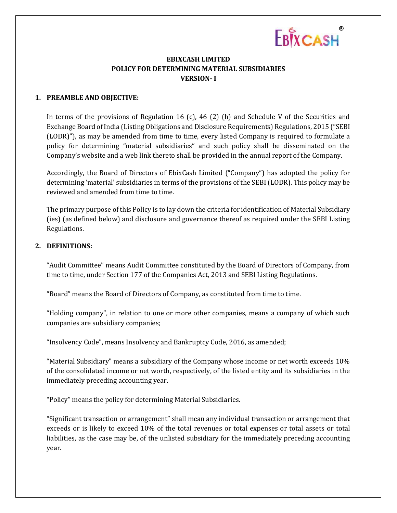

# **EBIXCASH LIMITED POLICY FOR DETERMINING MATERIAL SUBSIDIARIES VERSION- I**

#### **1. PREAMBLE AND OBJECTIVE:**

In terms of the provisions of Regulation 16 (c), 46 (2) (h) and Schedule V of the Securities and Exchange Board of India (Listing Obligations and Disclosure Requirements) Regulations, 2015 ("SEBI (LODR)"), as may be amended from time to time, every listed Company is required to formulate a policy for determining "material subsidiaries" and such policy shall be disseminated on the Company's website and a web link thereto shall be provided in the annual report of the Company.

Accordingly, the Board of Directors of EbixCash Limited ("Company") has adopted the policy for determining 'material' subsidiaries in terms of the provisions of the SEBI (LODR). This policy may be reviewed and amended from time to time.

The primary purpose of this Policy is to lay down the criteria for identification of Material Subsidiary (ies) (as defined below) and disclosure and governance thereof as required under the SEBI Listing Regulations.

### **2. DEFINITIONS:**

"Audit Committee" means Audit Committee constituted by the Board of Directors of Company, from time to time, under Section 177 of the Companies Act, 2013 and SEBI Listing Regulations.

"Board" means the Board of Directors of Company, as constituted from time to time.

"Holding company", in relation to one or more other companies, means a company of which such companies are subsidiary companies;

"Insolvency Code", means Insolvency and Bankruptcy Code, 2016, as amended;

"Material Subsidiary" means a subsidiary of the Company whose income or net worth exceeds 10% of the consolidated income or net worth, respectively, of the listed entity and its subsidiaries in the immediately preceding accounting year.

"Policy" means the policy for determining Material Subsidiaries.

"Significant transaction or arrangement" shall mean any individual transaction or arrangement that exceeds or is likely to exceed 10% of the total revenues or total expenses or total assets or total liabilities, as the case may be, of the unlisted subsidiary for the immediately preceding accounting year.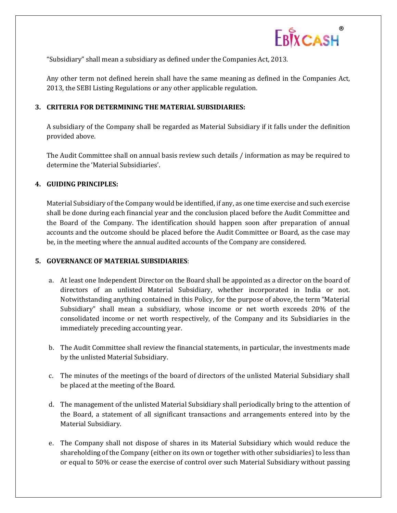

"Subsidiary" shall mean a subsidiary as defined under the Companies Act, 2013.

Any other term not defined herein shall have the same meaning as defined in the Companies Act, 2013, the SEBI Listing Regulations or any other applicable regulation.

### **3. CRITERIA FOR DETERMINING THE MATERIAL SUBSIDIARIES:**

A subsidiary of the Company shall be regarded as Material Subsidiary if it falls under the definition provided above.

The Audit Committee shall on annual basis review such details / information as may be required to determine the 'Material Subsidiaries'.

### **4. GUIDING PRINCIPLES:**

Material Subsidiary of the Company would be identified, if any, as one time exercise and such exercise shall be done during each financial year and the conclusion placed before the Audit Committee and the Board of the Company. The identification should happen soon after preparation of annual accounts and the outcome should be placed before the Audit Committee or Board, as the case may be, in the meeting where the annual audited accounts of the Company are considered.

### **5. GOVERNANCE OF MATERIAL SUBSIDIARIES**:

- a. At least one Independent Director on the Board shall be appointed as a director on the board of directors of an unlisted Material Subsidiary, whether incorporated in India or not. Notwithstanding anything contained in this Policy, for the purpose of above, the term "Material Subsidiary" shall mean a subsidiary, whose income or net worth exceeds 20% of the consolidated income or net worth respectively, of the Company and its Subsidiaries in the immediately preceding accounting year.
- b. The Audit Committee shall review the financial statements, in particular, the investments made by the unlisted Material Subsidiary.
- c. The minutes of the meetings of the board of directors of the unlisted Material Subsidiary shall be placed at the meeting of the Board.
- d. The management of the unlisted Material Subsidiary shall periodically bring to the attention of the Board, a statement of all significant transactions and arrangements entered into by the Material Subsidiary.
- e. The Company shall not dispose of shares in its Material Subsidiary which would reduce the shareholding of the Company (either on its own or together with other subsidiaries) to less than or equal to 50% or cease the exercise of control over such Material Subsidiary without passing